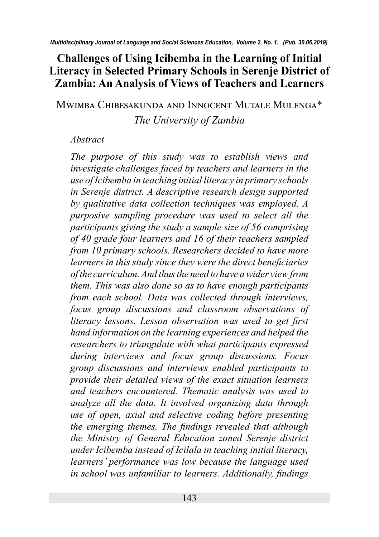### **Challenges of Using Icibemba in the Learning of Initial Literacy in Selected Primary Schools in Serenje District of Zambia: An Analysis of Views of Teachers and Learners**

Mwimba Chibesakunda and Innocent Mutale Mulenga\*

#### *The University of Zambia*

#### *Abstract*

*The purpose of this study was to establish views and investigate challenges faced by teachers and learners in the use of Icibemba in teaching initial literacy in primary schools in Serenje district. A descriptive research design supported by qualitative data collection techniques was employed. A purposive sampling procedure was used to select all the participants giving the study a sample size of 56 comprising of 40 grade four learners and 16 of their teachers sampled from 10 primary schools. Researchers decided to have more learners in this study since they were the direct beneficiaries of the curriculum. And thus the need to have a wider view from them. This was also done so as to have enough participants from each school. Data was collected through interviews, focus group discussions and classroom observations of literacy lessons. Lesson observation was used to get first hand information on the learning experiences and helped the researchers to triangulate with what participants expressed during interviews and focus group discussions. Focus group discussions and interviews enabled participants to provide their detailed views of the exact situation learners and teachers encountered. Thematic analysis was used to analyze all the data. It involved organizing data through use of open, axial and selective coding before presenting the emerging themes. The findings revealed that although the Ministry of General Education zoned Serenje district under Icibemba instead of Icilala in teaching initial literacy, learners' performance was low because the language used in school was unfamiliar to learners. Additionally, findings*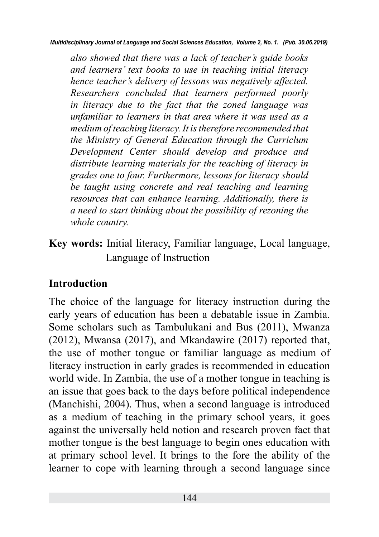*also showed that there was a lack of teacher's guide books and learners' text books to use in teaching initial literacy hence teacher's delivery of lessons was negatively affected. Researchers concluded that learners performed poorly in literacy due to the fact that the zoned language was unfamiliar to learners in that area where it was used as a medium of teaching literacy. It is therefore recommended that the Ministry of General Education through the Curriclum Development Center should develop and produce and distribute learning materials for the teaching of literacy in grades one to four. Furthermore, lessons for literacy should be taught using concrete and real teaching and learning resources that can enhance learning. Additionally, there is a need to start thinking about the possibility of rezoning the whole country.*

**Key words:** Initial literacy, Familiar language, Local language, Language of Instruction

# **Introduction**

The choice of the language for literacy instruction during the early years of education has been a debatable issue in Zambia. Some scholars such as Tambulukani and Bus (2011), Mwanza (2012), Mwansa (2017), and Mkandawire (2017) reported that, the use of mother tongue or familiar language as medium of literacy instruction in early grades is recommended in education world wide. In Zambia, the use of a mother tongue in teaching is an issue that goes back to the days before political independence (Manchishi, 2004). Thus, when a second language is introduced as a medium of teaching in the primary school years, it goes against the universally held notion and research proven fact that mother tongue is the best language to begin ones education with at primary school level. It brings to the fore the ability of the learner to cope with learning through a second language since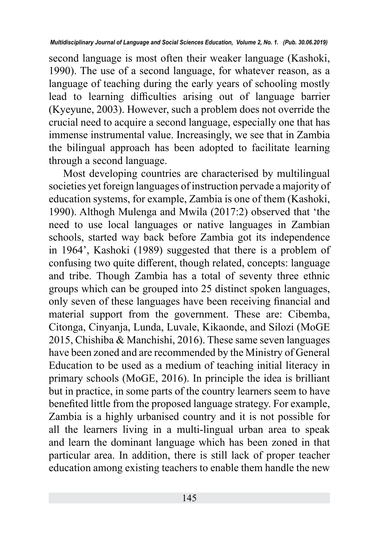second language is most often their weaker language (Kashoki, 1990). The use of a second language, for whatever reason, as a language of teaching during the early years of schooling mostly lead to learning difficulties arising out of language barrier (Kyeyune, 2003). However, such a problem does not override the crucial need to acquire a second language, especially one that has immense instrumental value. Increasingly, we see that in Zambia the bilingual approach has been adopted to facilitate learning through a second language.

Most developing countries are characterised by multilingual societies yet foreign languages of instruction pervade a majority of education systems, for example, Zambia is one of them (Kashoki, 1990). Althogh Mulenga and Mwila (2017:2) observed that 'the need to use local languages or native languages in Zambian schools, started way back before Zambia got its independence in 1964', Kashoki (1989) suggested that there is a problem of confusing two quite different, though related, concepts: language and tribe. Though Zambia has a total of seventy three ethnic groups which can be grouped into 25 distinct spoken languages, only seven of these languages have been receiving financial and material support from the government. These are: Cibemba, Citonga, Cinyanja, Lunda, Luvale, Kikaonde, and Silozi (MoGE 2015, Chishiba & Manchishi, 2016). These same seven languages have been zoned and are recommended by the Ministry of General Education to be used as a medium of teaching initial literacy in primary schools (MoGE, 2016). In principle the idea is brilliant but in practice, in some parts of the country learners seem to have benefited little from the proposed language strategy. For example, Zambia is a highly urbanised country and it is not possible for all the learners living in a multi-lingual urban area to speak and learn the dominant language which has been zoned in that particular area. In addition, there is still lack of proper teacher education among existing teachers to enable them handle the new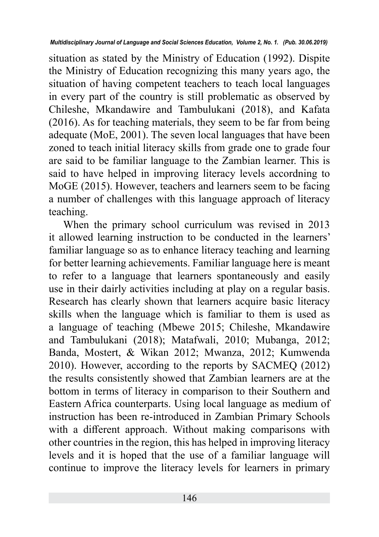situation as stated by the Ministry of Education (1992). Dispite the Ministry of Education recognizing this many years ago, the situation of having competent teachers to teach local languages in every part of the country is still problematic as observed by Chileshe, Mkandawire and Tambulukani (2018), and Kafata (2016). As for teaching materials, they seem to be far from being adequate (MoE, 2001). The seven local languages that have been zoned to teach initial literacy skills from grade one to grade four are said to be familiar language to the Zambian learner. This is said to have helped in improving literacy levels accordning to MoGE (2015). However, teachers and learners seem to be facing a number of challenges with this language approach of literacy teaching.

When the primary school curriculum was revised in 2013 it allowed learning instruction to be conducted in the learners' familiar language so as to enhance literacy teaching and learning for better learning achievements. Familiar language here is meant to refer to a language that learners spontaneously and easily use in their dairly activities including at play on a regular basis. Research has clearly shown that learners acquire basic literacy skills when the language which is familiar to them is used as a language of teaching (Mbewe 2015; Chileshe, Mkandawire and Tambulukani (2018); Matafwali, 2010; Mubanga, 2012; Banda, Mostert, & Wikan 2012; Mwanza, 2012; Kumwenda 2010). However, according to the reports by SACMEQ (2012) the results consistently showed that Zambian learners are at the bottom in terms of literacy in comparison to their Southern and Eastern Africa counterparts. Using local language as medium of instruction has been re-introduced in Zambian Primary Schools with a different approach. Without making comparisons with other countries in the region, this has helped in improving literacy levels and it is hoped that the use of a familiar language will continue to improve the literacy levels for learners in primary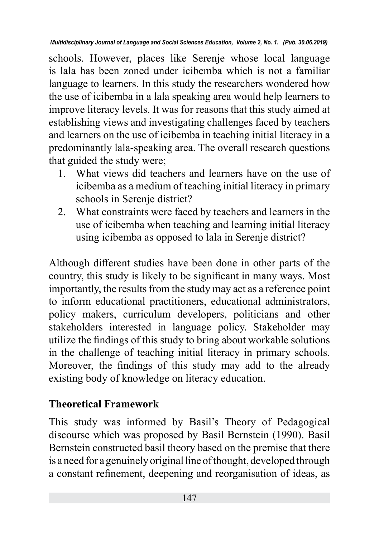schools. However, places like Serenje whose local language is lala has been zoned under icibemba which is not a familiar language to learners. In this study the researchers wondered how the use of icibemba in a lala speaking area would help learners to improve literacy levels. It was for reasons that this study aimed at establishing views and investigating challenges faced by teachers and learners on the use of icibemba in teaching initial literacy in a predominantly lala-speaking area. The overall research questions that guided the study were;

- 1. What views did teachers and learners have on the use of icibemba as a medium of teaching initial literacy in primary schools in Serenje district?
- 2. What constraints were faced by teachers and learners in the use of icibemba when teaching and learning initial literacy using icibemba as opposed to lala in Serenje district?

Although different studies have been done in other parts of the country, this study is likely to be significant in many ways. Most importantly, the results from the study may act as a reference point to inform educational practitioners, educational administrators, policy makers, curriculum developers, politicians and other stakeholders interested in language policy. Stakeholder may utilize the findings of this study to bring about workable solutions in the challenge of teaching initial literacy in primary schools. Moreover, the findings of this study may add to the already existing body of knowledge on literacy education.

# **Theoretical Framework**

This study was informed by Basil's Theory of Pedagogical discourse which was proposed by Basil Bernstein (1990). Basil Bernstein constructed basil theory based on the premise that there is a need for a genuinely original line of thought, developed through a constant refinement, deepening and reorganisation of ideas, as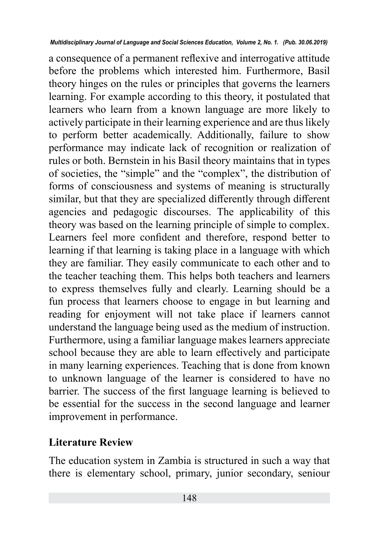a consequence of a permanent reflexive and interrogative attitude before the problems which interested him. Furthermore, Basil theory hinges on the rules or principles that governs the learners learning. For example according to this theory, it postulated that learners who learn from a known language are more likely to actively participate in their learning experience and are thus likely to perform better academically. Additionally, failure to show performance may indicate lack of recognition or realization of rules or both. Bernstein in his Basil theory maintains that in types of societies, the "simple" and the "complex", the distribution of forms of consciousness and systems of meaning is structurally similar, but that they are specialized differently through different agencies and pedagogic discourses. The applicability of this theory was based on the learning principle of simple to complex. Learners feel more confident and therefore, respond better to learning if that learning is taking place in a language with which they are familiar. They easily communicate to each other and to the teacher teaching them. This helps both teachers and learners to express themselves fully and clearly. Learning should be a fun process that learners choose to engage in but learning and reading for enjoyment will not take place if learners cannot understand the language being used as the medium of instruction. Furthermore, using a familiar language makes learners appreciate school because they are able to learn effectively and participate in many learning experiences. Teaching that is done from known to unknown language of the learner is considered to have no barrier. The success of the first language learning is believed to be essential for the success in the second language and learner improvement in performance.

### **Literature Review**

The education system in Zambia is structured in such a way that there is elementary school, primary, junior secondary, seniour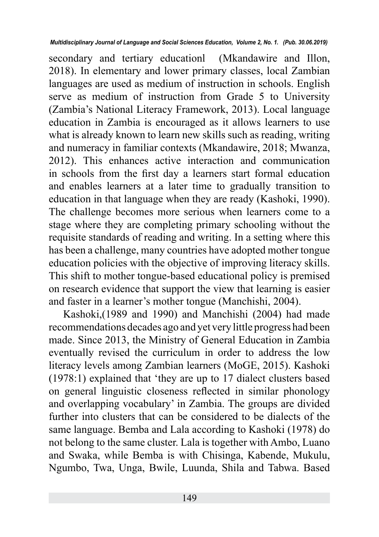secondary and tertiary educationl (Mkandawire and Illon, 2018). In elementary and lower primary classes, local Zambian languages are used as medium of instruction in schools. English serve as medium of instruction from Grade 5 to University (Zambia's National Literacy Framework, 2013). Local language education in Zambia is encouraged as it allows learners to use what is already known to learn new skills such as reading, writing and numeracy in familiar contexts (Mkandawire, 2018; Mwanza, 2012). This enhances active interaction and communication in schools from the first day a learners start formal education and enables learners at a later time to gradually transition to education in that language when they are ready (Kashoki, 1990). The challenge becomes more serious when learners come to a stage where they are completing primary schooling without the requisite standards of reading and writing. In a setting where this has been a challenge, many countries have adopted mother tongue education policies with the objective of improving literacy skills. This shift to mother tongue-based educational policy is premised on research evidence that support the view that learning is easier and faster in a learner's mother tongue (Manchishi, 2004).

Kashoki,(1989 and 1990) and Manchishi (2004) had made recommendations decades ago and yet very little progress had been made. Since 2013, the Ministry of General Education in Zambia eventually revised the curriculum in order to address the low literacy levels among Zambian learners (MoGE, 2015). Kashoki (1978:1) explained that 'they are up to 17 dialect clusters based on general linguistic closeness reflected in similar phonology and overlapping vocabulary' in Zambia. The groups are divided further into clusters that can be considered to be dialects of the same language. Bemba and Lala according to Kashoki (1978) do not belong to the same cluster. Lala is together with Ambo, Luano and Swaka, while Bemba is with Chisinga, Kabende, Mukulu, Ngumbo, Twa, Unga, Bwile, Luunda, Shila and Tabwa. Based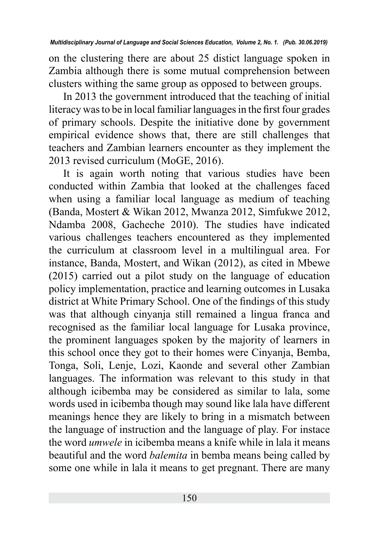on the clustering there are about 25 distict language spoken in Zambia although there is some mutual comprehension between clusters withing the same group as opposed to between groups.

In 2013 the government introduced that the teaching of initial literacy was to be in local familiar languages in the first four grades of primary schools. Despite the initiative done by government empirical evidence shows that, there are still challenges that teachers and Zambian learners encounter as they implement the 2013 revised curriculum (MoGE, 2016).

It is again worth noting that various studies have been conducted within Zambia that looked at the challenges faced when using a familiar local language as medium of teaching (Banda, Mostert & Wikan 2012, Mwanza 2012, Simfukwe 2012, Ndamba 2008, Gacheche 2010). The studies have indicated various challenges teachers encountered as they implemented the curriculum at classroom level in a multilingual area. For instance, Banda, Mostert, and Wikan (2012), as cited in Mbewe (2015) carried out a pilot study on the language of education policy implementation, practice and learning outcomes in Lusaka district at White Primary School. One of the findings of this study was that although cinyanja still remained a lingua franca and recognised as the familiar local language for Lusaka province, the prominent languages spoken by the majority of learners in this school once they got to their homes were Cinyanja, Bemba, Tonga, Soli, Lenje, Lozi, Kaonde and several other Zambian languages. The information was relevant to this study in that although icibemba may be considered as similar to lala, some words used in icibemba though may sound like lala have different meanings hence they are likely to bring in a mismatch between the language of instruction and the language of play. For instace the word *umwele* in icibemba means a knife while in lala it means beautiful and the word *balemita* in bemba means being called by some one while in lala it means to get pregnant. There are many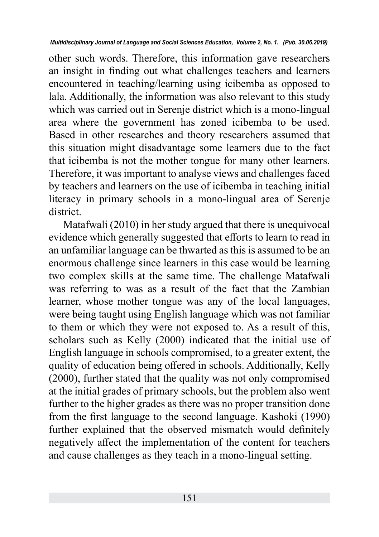other such words. Therefore, this information gave researchers an insight in finding out what challenges teachers and learners encountered in teaching/learning using icibemba as opposed to lala. Additionally, the information was also relevant to this study which was carried out in Serenje district which is a mono-lingual area where the government has zoned icibemba to be used. Based in other researches and theory researchers assumed that this situation might disadvantage some learners due to the fact that icibemba is not the mother tongue for many other learners. Therefore, it was important to analyse views and challenges faced by teachers and learners on the use of icibemba in teaching initial literacy in primary schools in a mono-lingual area of Serenje district.

Matafwali (2010) in her study argued that there is unequivocal evidence which generally suggested that efforts to learn to read in an unfamiliar language can be thwarted as this is assumed to be an enormous challenge since learners in this case would be learning two complex skills at the same time. The challenge Matafwali was referring to was as a result of the fact that the Zambian learner, whose mother tongue was any of the local languages, were being taught using English language which was not familiar to them or which they were not exposed to. As a result of this, scholars such as Kelly (2000) indicated that the initial use of English language in schools compromised, to a greater extent, the quality of education being offered in schools. Additionally, Kelly (2000), further stated that the quality was not only compromised at the initial grades of primary schools, but the problem also went further to the higher grades as there was no proper transition done from the first language to the second language. Kashoki (1990) further explained that the observed mismatch would definitely negatively affect the implementation of the content for teachers and cause challenges as they teach in a mono-lingual setting.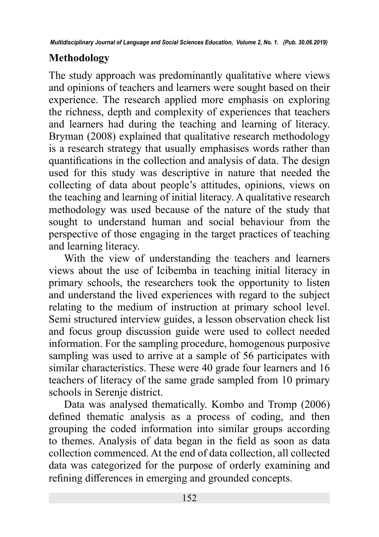# **Methodology**

The study approach was predominantly qualitative where views and opinions of teachers and learners were sought based on their experience. The research applied more emphasis on exploring the richness, depth and complexity of experiences that teachers and learners had during the teaching and learning of literacy. Bryman (2008) explained that qualitative research methodology is a research strategy that usually emphasises words rather than quantifications in the collection and analysis of data. The design used for this study was descriptive in nature that needed the collecting of data about people's attitudes, opinions, views on the teaching and learning of initial literacy. A qualitative research methodology was used because of the nature of the study that sought to understand human and social behaviour from the perspective of those engaging in the target practices of teaching and learning literacy.

With the view of understanding the teachers and learners views about the use of Icibemba in teaching initial literacy in primary schools, the researchers took the opportunity to listen and understand the lived experiences with regard to the subject relating to the medium of instruction at primary school level. Semi structured interview guides, a lesson observation check list and focus group discussion guide were used to collect needed information. For the sampling procedure, homogenous purposive sampling was used to arrive at a sample of 56 participates with similar characteristics. These were 40 grade four learners and 16 teachers of literacy of the same grade sampled from 10 primary schools in Serenje district.

Data was analysed thematically. Kombo and Tromp (2006) defined thematic analysis as a process of coding, and then grouping the coded information into similar groups according to themes. Analysis of data began in the field as soon as data collection commenced. At the end of data collection, all collected data was categorized for the purpose of orderly examining and refining differences in emerging and grounded concepts.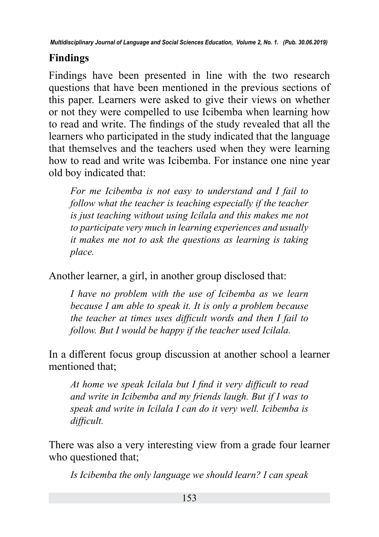# **Findings**

Findings have been presented in line with the two research questions that have been mentioned in the previous sections of this paper. Learners were asked to give their views on whether or not they were compelled to use Icibemba when learning how to read and write. The findings of the study revealed that all the learners who participated in the study indicated that the language that themselves and the teachers used when they were learning how to read and write was Icibemba. For instance one nine year old boy indicated that:

*For me Icibemba is not easy to understand and I fail to follow what the teacher is teaching especially if the teacher is just teaching without using Icilala and this makes me not to participate very much in learning experiences and usually it makes me not to ask the questions as learning is taking place.*

Another learner, a girl, in another group disclosed that:

*I have no problem with the use of Icibemba as we learn because I am able to speak it. It is only a problem because the teacher at times uses difficult words and then I fail to follow. But I would be happy if the teacher used Icilala.*

In a different focus group discussion at another school a learner mentioned that;

*At home we speak Icilala but I find it very difficult to read and write in Icibemba and my friends laugh. But if I was to speak and write in Icilala I can do it very well. Icibemba is difficult.*

There was also a very interesting view from a grade four learner who questioned that;

*Is Icibemba the only language we should learn? I can speak*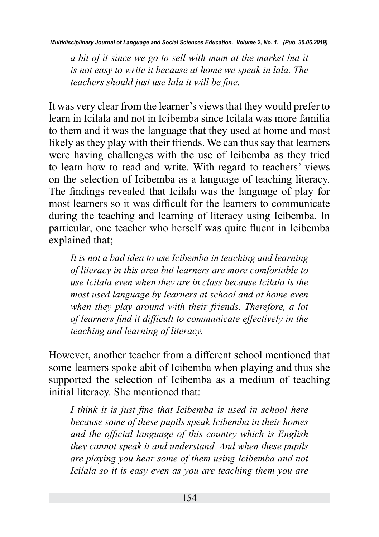*a bit of it since we go to sell with mum at the market but it is not easy to write it because at home we speak in lala. The teachers should just use lala it will be fine.*

It was very clear from the learner's views that they would prefer to learn in Icilala and not in Icibemba since Icilala was more familia to them and it was the language that they used at home and most likely as they play with their friends. We can thus say that learners were having challenges with the use of Icibemba as they tried to learn how to read and write. With regard to teachers' views on the selection of Icibemba as a language of teaching literacy. The findings revealed that Icilala was the language of play for most learners so it was difficult for the learners to communicate during the teaching and learning of literacy using Icibemba. In particular, one teacher who herself was quite fluent in Icibemba explained that;

*It is not a bad idea to use Icibemba in teaching and learning of literacy in this area but learners are more comfortable to use Icilala even when they are in class because Icilala is the most used language by learners at school and at home even when they play around with their friends. Therefore, a lot of learners find it difficult to communicate effectively in the teaching and learning of literacy.*

However, another teacher from a different school mentioned that some learners spoke abit of Icibemba when playing and thus she supported the selection of Icibemba as a medium of teaching initial literacy. She mentioned that:

*I think it is just fine that Icibemba is used in school here because some of these pupils speak Icibemba in their homes and the official language of this country which is English they cannot speak it and understand. And when these pupils are playing you hear some of them using Icibemba and not Icilala so it is easy even as you are teaching them you are*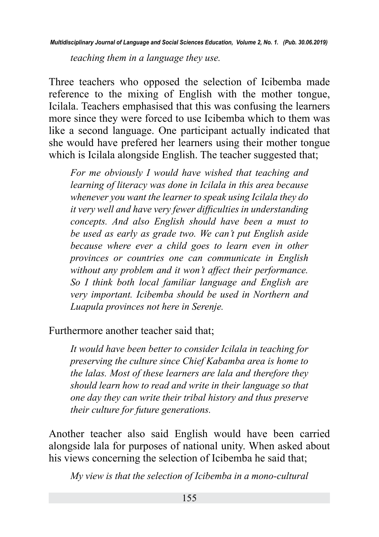*teaching them in a language they use.*

Three teachers who opposed the selection of Icibemba made reference to the mixing of English with the mother tongue, Icilala. Teachers emphasised that this was confusing the learners more since they were forced to use Icibemba which to them was like a second language. One participant actually indicated that she would have prefered her learners using their mother tongue which is Icilala alongside English. The teacher suggested that;

*For me obviously I would have wished that teaching and learning of literacy was done in Icilala in this area because whenever you want the learner to speak using Icilala they do it very well and have very fewer difficulties in understanding concepts. And also English should have been a must to be used as early as grade two. We can't put English aside because where ever a child goes to learn even in other provinces or countries one can communicate in English without any problem and it won't affect their performance. So I think both local familiar language and English are very important. Icibemba should be used in Northern and Luapula provinces not here in Serenje.*

Furthermore another teacher said that;

*It would have been better to consider Icilala in teaching for preserving the culture since Chief Kabamba area is home to the lalas. Most of these learners are lala and therefore they should learn how to read and write in their language so that one day they can write their tribal history and thus preserve their culture for future generations.*

Another teacher also said English would have been carried alongside lala for purposes of national unity. When asked about his views concerning the selection of Icibemba he said that;

*My view is that the selection of Icibemba in a mono-cultural*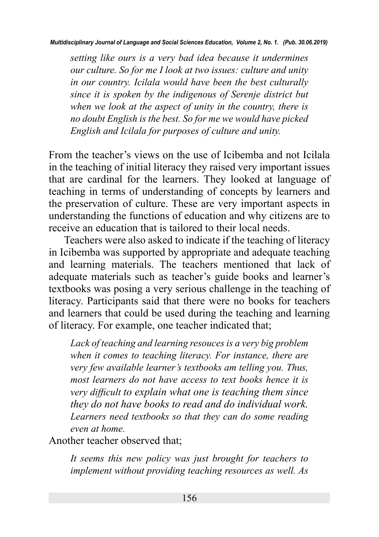*setting like ours is a very bad idea because it undermines our culture. So for me I look at two issues: culture and unity in our country. Icilala would have been the best culturally since it is spoken by the indigenous of Serenje district but when we look at the aspect of unity in the country, there is no doubt English is the best. So for me we would have picked English and Icilala for purposes of culture and unity.*

From the teacher's views on the use of Icibemba and not Icilala in the teaching of initial literacy they raised very important issues that are cardinal for the learners. They looked at language of teaching in terms of understanding of concepts by learners and the preservation of culture. These are very important aspects in understanding the functions of education and why citizens are to receive an education that is tailored to their local needs.

Teachers were also asked to indicate if the teaching of literacy in Icibemba was supported by appropriate and adequate teaching and learning materials. The teachers mentioned that lack of adequate materials such as teacher's guide books and learner's textbooks was posing a very serious challenge in the teaching of literacy. Participants said that there were no books for teachers and learners that could be used during the teaching and learning of literacy. For example, one teacher indicated that;

*Lack of teaching and learning resouces is a very big problem when it comes to teaching literacy. For instance, there are very few available learner's textbooks am telling you. Thus, most learners do not have access to text books hence it is very difficult to explain what one is teaching them since they do not have books to read and do individual work. Learners need textbooks so that they can do some reading even at home.*

Another teacher observed that;

*It seems this new policy was just brought for teachers to implement without providing teaching resources as well. As*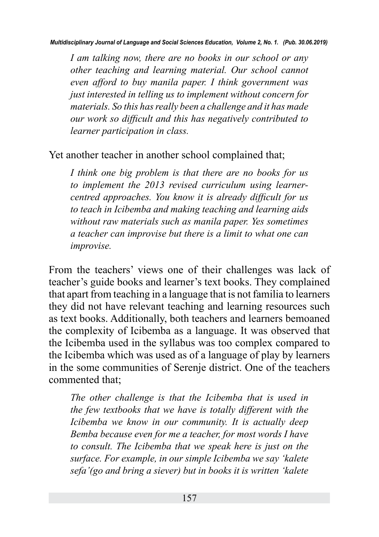*I am talking now, there are no books in our school or any other teaching and learning material. Our school cannot even afford to buy manila paper. I think government was just interested in telling us to implement without concern for materials. So this has really been a challenge and it has made our work so difficult and this has negatively contributed to learner participation in class.*

### Yet another teacher in another school complained that;

*I think one big problem is that there are no books for us to implement the 2013 revised curriculum using learnercentred approaches. You know it is already difficult for us to teach in Icibemba and making teaching and learning aids without raw materials such as manila paper. Yes sometimes a teacher can improvise but there is a limit to what one can improvise.*

From the teachers' views one of their challenges was lack of teacher's guide books and learner's text books. They complained that apart from teaching in a language that is not familia to learners they did not have relevant teaching and learning resources such as text books. Additionally, both teachers and learners bemoaned the complexity of Icibemba as a language. It was observed that the Icibemba used in the syllabus was too complex compared to the Icibemba which was used as of a language of play by learners in the some communities of Serenje district. One of the teachers commented that;

*The other challenge is that the Icibemba that is used in the few textbooks that we have is totally different with the Icibemba we know in our community. It is actually deep Bemba because even for me a teacher, for most words I have to consult. The Icibemba that we speak here is just on the surface. For example, in our simple Icibemba we say 'kalete sefa'(go and bring a siever) but in books it is written 'kalete*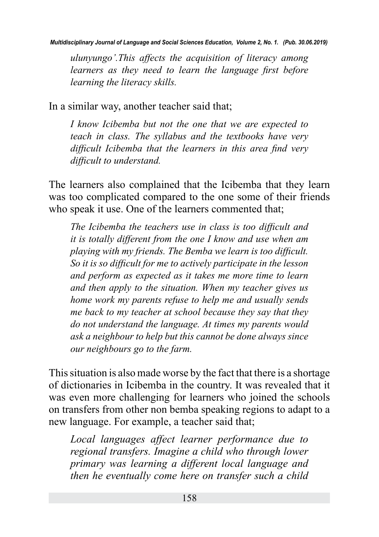*ulunyungo'.This affects the acquisition of literacy among learners as they need to learn the language first before learning the literacy skills.*

In a similar way, another teacher said that;

*I know Icibemba but not the one that we are expected to teach in class. The syllabus and the textbooks have very difficult Icibemba that the learners in this area find very difficult to understand.*

The learners also complained that the Icibemba that they learn was too complicated compared to the one some of their friends who speak it use. One of the learners commented that;

*The Icibemba the teachers use in class is too difficult and it is totally different from the one I know and use when am playing with my friends. The Bemba we learn is too difficult. So it is so difficult for me to actively participate in the lesson and perform as expected as it takes me more time to learn and then apply to the situation. When my teacher gives us home work my parents refuse to help me and usually sends me back to my teacher at school because they say that they do not understand the language. At times my parents would ask a neighbour to help but this cannot be done always since our neighbours go to the farm.*

This situation is also made worse by the fact that there is a shortage of dictionaries in Icibemba in the country. It was revealed that it was even more challenging for learners who joined the schools on transfers from other non bemba speaking regions to adapt to a new language. For example, a teacher said that;

*Local languages affect learner performance due to regional transfers. Imagine a child who through lower primary was learning a different local language and then he eventually come here on transfer such a child*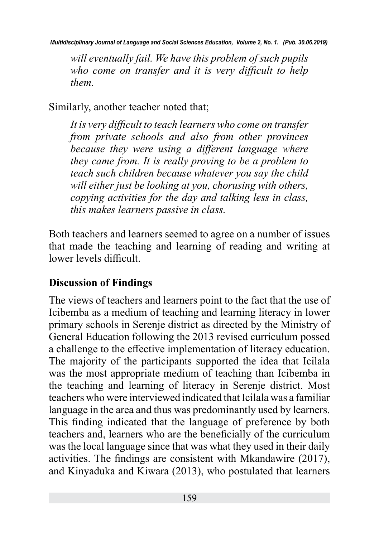*will eventually fail. We have this problem of such pupils who come on transfer and it is very difficult to help them.*

Similarly, another teacher noted that;

*It is very difficult to teach learners who come on transfer from private schools and also from other provinces because they were using a different language where they came from. It is really proving to be a problem to teach such children because whatever you say the child will either just be looking at you, chorusing with others, copying activities for the day and talking less in class, this makes learners passive in class.*

Both teachers and learners seemed to agree on a number of issues that made the teaching and learning of reading and writing at lower levels difficult.

### **Discussion of Findings**

The views of teachers and learners point to the fact that the use of Icibemba as a medium of teaching and learning literacy in lower primary schools in Serenje district as directed by the Ministry of General Education following the 2013 revised curriculum possed a challenge to the effective implementation of literacy education. The majority of the participants supported the idea that Icilala was the most appropriate medium of teaching than Icibemba in the teaching and learning of literacy in Serenje district. Most teachers who were interviewed indicated that Icilala was a familiar language in the area and thus was predominantly used by learners. This finding indicated that the language of preference by both teachers and, learners who are the beneficially of the curriculum was the local language since that was what they used in their daily activities. The findings are consistent with Mkandawire (2017), and Kinyaduka and Kiwara (2013), who postulated that learners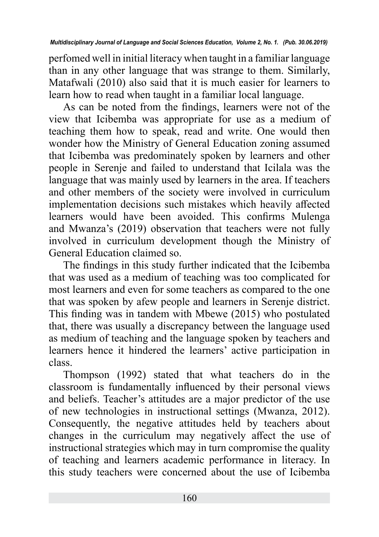perfomed well in initial literacy when taught in a familiar language than in any other language that was strange to them. Similarly, Matafwali (2010) also said that it is much easier for learners to learn how to read when taught in a familiar local language.

As can be noted from the findings, learners were not of the view that Icibemba was appropriate for use as a medium of teaching them how to speak, read and write. One would then wonder how the Ministry of General Education zoning assumed that Icibemba was predominately spoken by learners and other people in Serenje and failed to understand that Icilala was the language that was mainly used by learners in the area. If teachers and other members of the society were involved in curriculum implementation decisions such mistakes which heavily affected learners would have been avoided. This confirms Mulenga and Mwanza's (2019) observation that teachers were not fully involved in curriculum development though the Ministry of General Education claimed so.

The findings in this study further indicated that the Icibemba that was used as a medium of teaching was too complicated for most learners and even for some teachers as compared to the one that was spoken by afew people and learners in Serenje district. This finding was in tandem with Mbewe (2015) who postulated that, there was usually a discrepancy between the language used as medium of teaching and the language spoken by teachers and learners hence it hindered the learners' active participation in class.

Thompson (1992) stated that what teachers do in the classroom is fundamentally influenced by their personal views and beliefs. Teacher's attitudes are a major predictor of the use of new technologies in instructional settings (Mwanza, 2012). Consequently, the negative attitudes held by teachers about changes in the curriculum may negatively affect the use of instructional strategies which may in turn compromise the quality of teaching and learners academic performance in literacy. In this study teachers were concerned about the use of Icibemba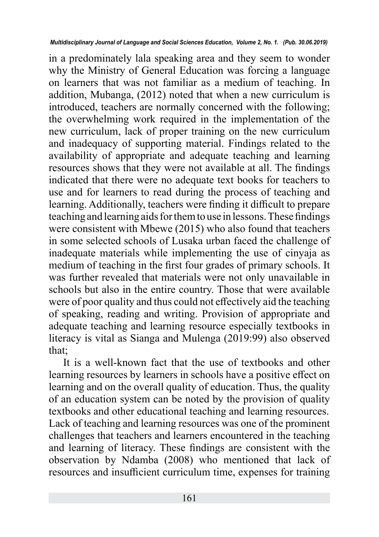in a predominately lala speaking area and they seem to wonder why the Ministry of General Education was forcing a language on learners that was not familiar as a medium of teaching. In addition, Mubanga, (2012) noted that when a new curriculum is introduced, teachers are normally concerned with the following; the overwhelming work required in the implementation of the new curriculum, lack of proper training on the new curriculum and inadequacy of supporting material. Findings related to the availability of appropriate and adequate teaching and learning resources shows that they were not available at all. The findings indicated that there were no adequate text books for teachers to use and for learners to read during the process of teaching and learning. Additionally, teachers were finding it difficult to prepare teaching and learning aids for them to use in lessons. These findings were consistent with Mbewe (2015) who also found that teachers in some selected schools of Lusaka urban faced the challenge of inadequate materials while implementing the use of cinyaja as medium of teaching in the first four grades of primary schools. It was further revealed that materials were not only unavailable in schools but also in the entire country. Those that were available were of poor quality and thus could not effectively aid the teaching of speaking, reading and writing. Provision of appropriate and adequate teaching and learning resource especially textbooks in literacy is vital as Sianga and Mulenga (2019:99) also observed that;

It is a well-known fact that the use of textbooks and other learning resources by learners in schools have a positive effect on learning and on the overall quality of education. Thus, the quality of an education system can be noted by the provision of quality textbooks and other educational teaching and learning resources. Lack of teaching and learning resources was one of the prominent challenges that teachers and learners encountered in the teaching and learning of literacy. These findings are consistent with the observation by Ndamba (2008) who mentioned that lack of resources and insufficient curriculum time, expenses for training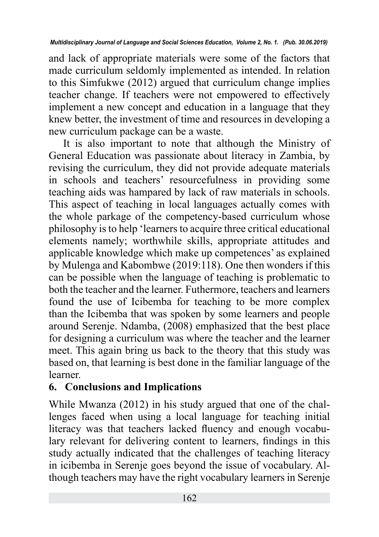and lack of appropriate materials were some of the factors that made curriculum seldomly implemented as intended. In relation to this Simfukwe (2012) argued that curriculum change implies teacher change. If teachers were not empowered to effectively implement a new concept and education in a language that they knew better, the investment of time and resources in developing a new curriculum package can be a waste.

It is also important to note that although the Ministry of General Education was passionate about literacy in Zambia, by revising the curriculum, they did not provide adequate materials in schools and teachers' resourcefulness in providing some teaching aids was hampared by lack of raw materials in schools. This aspect of teaching in local languages actually comes with the whole parkage of the competency-based curriculum whose philosophy is to help 'learners to acquire three critical educational elements namely; worthwhile skills, appropriate attitudes and applicable knowledge which make up competences' as explained by Mulenga and Kabombwe (2019:118). One then wonders if this can be possible when the language of teaching is problematic to both the teacher and the learner. Futhermore, teachers and learners found the use of Icibemba for teaching to be more complex than the Icibemba that was spoken by some learners and people around Serenje. Ndamba, (2008) emphasized that the best place for designing a curriculum was where the teacher and the learner meet. This again bring us back to the theory that this study was based on, that learning is best done in the familiar language of the learner.

# **6. Conclusions and Implications**

While Mwanza (2012) in his study argued that one of the challenges faced when using a local language for teaching initial literacy was that teachers lacked fluency and enough vocabulary relevant for delivering content to learners, findings in this study actually indicated that the challenges of teaching literacy in icibemba in Serenje goes beyond the issue of vocabulary. Although teachers may have the right vocabulary learners in Serenje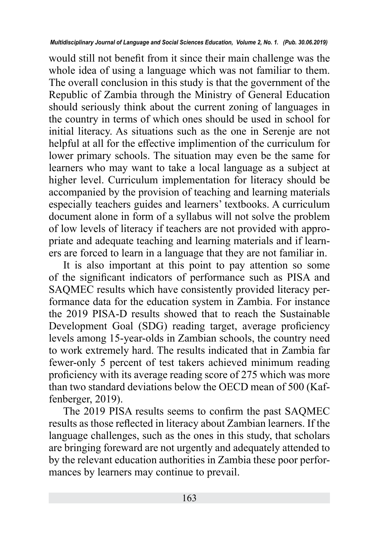would still not benefit from it since their main challenge was the whole idea of using a language which was not familiar to them. The overall conclusion in this study is that the government of the Republic of Zambia through the Ministry of General Education should seriously think about the current zoning of languages in the country in terms of which ones should be used in school for initial literacy. As situations such as the one in Serenje are not helpful at all for the effective implimention of the curriculum for lower primary schools. The situation may even be the same for learners who may want to take a local language as a subject at higher level. Curriculum implementation for literacy should be accompanied by the provision of teaching and learning materials especially teachers guides and learners' textbooks. A curriculum document alone in form of a syllabus will not solve the problem of low levels of literacy if teachers are not provided with appropriate and adequate teaching and learning materials and if learners are forced to learn in a language that they are not familiar in.

It is also important at this point to pay attention so some of the significant indicators of performance such as PISA and SAQMEC results which have consistently provided literacy performance data for the education system in Zambia. For instance the 2019 PISA-D results showed that to reach the Sustainable Development Goal (SDG) reading target, average proficiency levels among 15-year-olds in Zambian schools, the country need to work extremely hard. The results indicated that in Zambia far fewer-only 5 percent of test takers achieved minimum reading proficiency with its average reading score of 275 which was more than two standard deviations below the OECD mean of 500 (Kaffenberger, 2019).

The 2019 PISA results seems to confirm the past SAQMEC results as those reflected in literacy about Zambian learners. If the language challenges, such as the ones in this study, that scholars are bringing foreward are not urgently and adequately attended to by the relevant education authorities in Zambia these poor performances by learners may continue to prevail.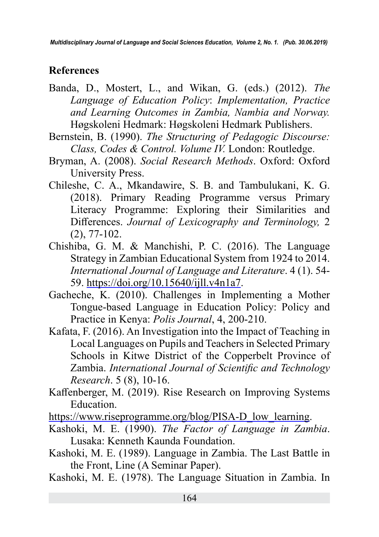## **References**

- Banda, D., Mostert, L., and Wikan, G. (eds.) (2012). *The Language of Education Policy*: *Implementation, Practice and Learning Outcomes in Zambia, Nambia and Norway.* Høgskoleni Hedmark: Høgskoleni Hedmark Publishers.
- Bernstein, B. (1990). *The Structuring of Pedagogic Discourse: Class, Codes & Control. Volume IV.* London: Routledge.
- Bryman, A. (2008). *Social Research Methods*. Oxford: Oxford University Press.
- Chileshe, C. A., Mkandawire, S. B. and Tambulukani, K. G. (2018). Primary Reading Programme versus Primary Literacy Programme: Exploring their Similarities and Differences. *Journal of Lexicography and Terminology,* 2 (2), 77-102.
- Chishiba, G. M. & Manchishi, P. C. (2016). The Language Strategy in Zambian Educational System from 1924 to 2014. *International Journal of Language and Literature*. 4 (1). 54- 59. [https://doi.org/10.15640/ijll.v4n1a7.](https://doi.org/10.15640/ijll.v4n1a7)
- Gacheche, K. (2010). Challenges in Implementing a Mother Tongue-based Language in Education Policy: Policy and Practice in Kenya: *Polis Journal*, 4, 200-210.
- Kafata, F. (2016). An Investigation into the Impact of Teaching in Local Languages on Pupils and Teachers in Selected Primary Schools in Kitwe District of the Copperbelt Province of Zambia. *International Journal of Scientific and Technology Research*. 5 (8), 10-16.
- Kaffenberger, M. (2019). Rise Research on Improving Systems Education.
- [https://www.riseprogramme.org/blog/PISA-D\\_low\\_learning.](https://www.riseprogramme.org/blog/PISA-D_low_learning)
- Kashoki, M. E. (1990). *The Factor of Language in Zambia*. Lusaka: Kenneth Kaunda Foundation.
- Kashoki, M. E. (1989). Language in Zambia. The Last Battle in the Front, Line (A Seminar Paper).
- Kashoki, M. E. (1978). The Language Situation in Zambia. In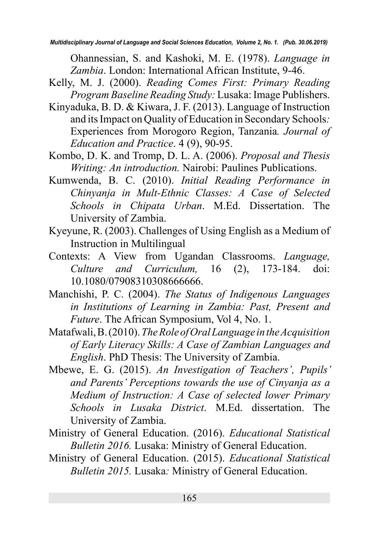Ohannessian, S. and Kashoki, M. E. (1978). *Language in Zambia*. London: International African Institute, 9-46.

- Kelly, M. J. (2000). *Reading Comes First: Primary Reading Program Baseline Reading Study:* Lusaka: Image Publishers.
- Kinyaduka, B. D. & Kiwara, J. F. (2013). Language of Instruction and its Impact on Quality of Education in Secondary Schools*:*  Experiences from Morogoro Region, Tanzania*. Journal of Education and Practice*. 4 (9), 90-95.
- Kombo, D. K. and Tromp, D. L. A. (2006). *Proposal and Thesis Writing: An introduction.* Nairobi: Paulines Publications.
- Kumwenda, B. C. (2010). *Initial Reading Performance in Chinyanja in Mult-Ethnic Classes: A Case of Selected Schools in Chipata Urban*. M.Ed. Dissertation. The University of Zambia.
- Kyeyune, R. (2003). Challenges of Using English as a Medium of Instruction in Multilingual
- Contexts: A View from Ugandan Classrooms. *Language, Culture and Curriculum,* 16 (2), 173-184. doi: 10.1080/07908310308666666.
- Manchishi, P. C. (2004). *The Status of Indigenous Languages in Institutions of Learning in Zambia: Past, Present and Future*. The African Symposium, Vol 4, No. 1.
- Matafwali, B. (2010). *The Role of Oral Language in the Acquisition of Early Literacy Skills: A Case of Zambian Languages and English*. PhD Thesis: The University of Zambia.
- Mbewe, E. G. (2015). *An Investigation of Teachers', Pupils' and Parents' Perceptions towards the use of Cinyanja as a Medium of Instruction: A Case of selected lower Primary Schools in Lusaka District*. M.Ed. dissertation. The University of Zambia.
- Ministry of General Education. (2016). *Educational Statistical Bulletin 2016.* Lusaka: Ministry of General Education.
- Ministry of General Education. (2015). *Educational Statistical Bulletin 2015.* Lusaka*:* Ministry of General Education.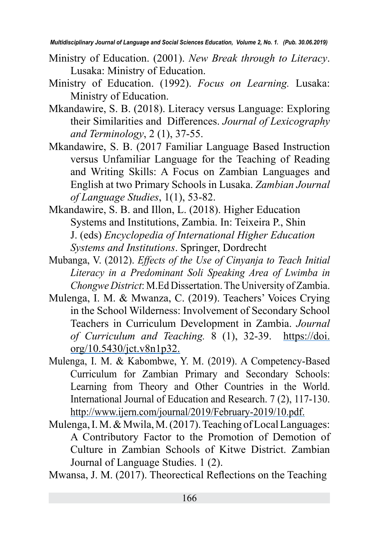- Ministry of Education. (2001). *New Break through to Literacy*. Lusaka: Ministry of Education.
- Ministry of Education. (1992). *Focus on Learning.* Lusaka: Ministry of Education.
- Mkandawire, S. B. (2018). Literacy versus Language: Exploring their Similarities and Differences. *Journal of Lexicography and Terminology*, 2 (1), 37-55.
- Mkandawire, S. B. (2017 Familiar Language Based Instruction versus Unfamiliar Language for the Teaching of Reading and Writing Skills: A Focus on Zambian Languages and English at two Primary Schools in Lusaka. *Zambian Journal of Language Studies*, 1(1), 53-82.
- Mkandawire, S. B. and Illon, L. (2018). Higher Education Systems and Institutions, Zambia. In: Teixeira P., Shin J. (eds) *Encyclopedia of International Higher Education Systems and Institutions*. Springer, Dordrecht
- Mubanga, V. (2012). *Effects of the Use of Cinyanja to Teach Initial Literacy in a Predominant Soli Speaking Area of Lwimba in Chongwe District*: M.Ed Dissertation. The University of Zambia.
- Mulenga, I. M. & Mwanza, C. (2019). Teachers' Voices Crying in the School Wilderness: Involvement of Secondary School Teachers in Curriculum Development in Zambia. *Journal of Curriculum and Teaching.* 8 (1), 32-39. [https://doi.](https://doi.org/10.5430/jct.v8n1p32) [org/10.5430/jct.v8n1p32](https://doi.org/10.5430/jct.v8n1p32).
- Mulenga, I. M. & Kabombwe, Y. M. (2019). A Competency-Based Curriculum for Zambian Primary and Secondary Schools: Learning from Theory and Other Countries in the World. International Journal of Education and Research. 7 (2), 117-130. [http://www.ijern.com/journal/2019/February-2019/10.pdf.](http://www.ijern.com/journal/2019/February-2019/10.pdf)
- Mulenga, I. M. & Mwila, M. (2017). Teaching of Local Languages: A Contributory Factor to the Promotion of Demotion of Culture in Zambian Schools of Kitwe District. Zambian Journal of Language Studies. 1 (2).

Mwansa, J. M. (2017). Theorectical Reflections on the Teaching